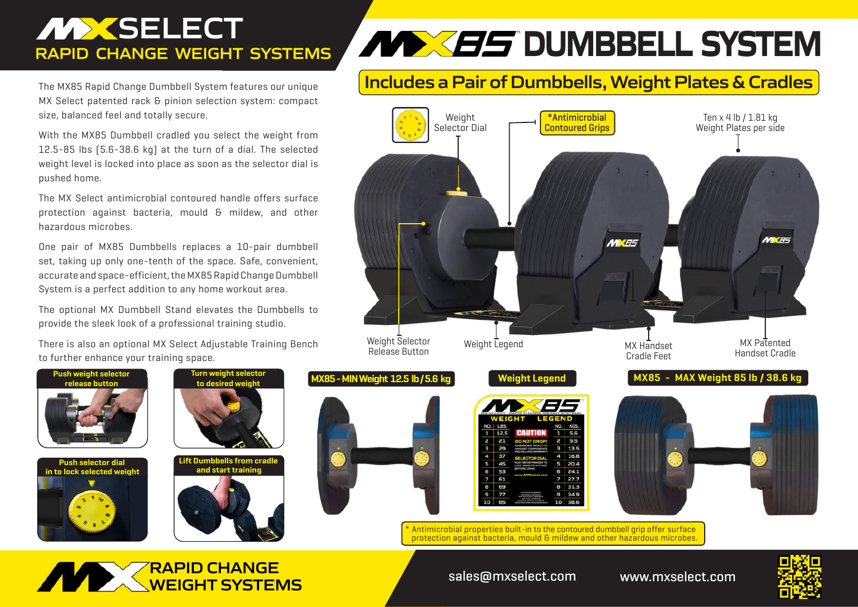## **MXSELECT RAPID CHANGE WEIGHT SYSTEMS**

The MX85 Rapid Change Dumbbell System features our unique MX Select patented rack & pinion selection system: compact size, balanced feel and totally secure.

With the MX85 Dumbbell cradled you select the weight from 12.5-85 lbs (5.6-38.6 kg) at the turn of a dial. The selected weight level is locked into place as soon as the selector dial is pushed home.

The MX Select antimicrobial contoured handle offers surface protection against bacteria, mould & mildew, and other hazardous microbes.

One pair of MX85 Dumbbells replaces a 10-pair dumbbell set, taking up only one-tenth of the space. Safe, convenient, accurate and space-efficient, the MX85 Rapid Change Dumbbell System is a perfect addition to any home workout area.

The optional MX Dumbbell Stand elevates the Dumbbells to provide the sleek look of a professional training studio.

There is also an optional MX Select Adjustable Training Bench to further enhance your training space.

> iurn weiaht sel<sub>'</sub> **to desired weight**

**Lift Dumbbells from cradle and start training**

**Push weight selector release button**

**Push selector dial in to lock selected weight**

# **Includes a Pair of Dumbbells, Weight Plates & Cradles**



*DUMBBELL SYSTEM* 

Antimicrobial properties built-in to the contoured dumbbell grip offer surface protection against bacteria, mould & mildew and other hazardous microbes.





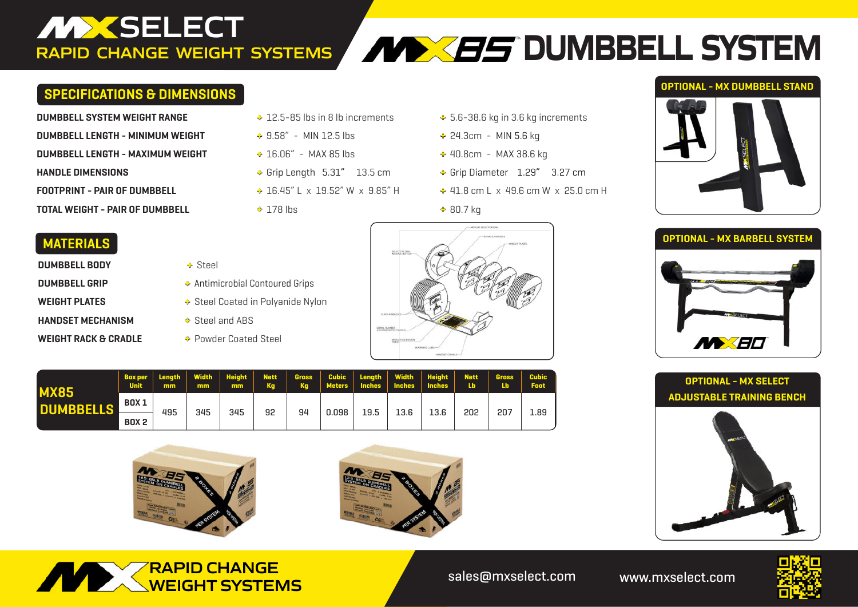## **DUMBBELL SYSTEMS RAPID CHANGE WEIGHT SYSTEMS**

### **SPECIFICATIONS & DIMENSIONS**

| DUMBBELL SYSTEM WEIGHT RANGE        | $\div$ 12.5-85 lbs in 8 lb increments | $+5.6 - 38.$ |
|-------------------------------------|---------------------------------------|--------------|
| DUMBBELL LENGTH - MINIMUM WEIGHT    | $\div$ 9.58" - MIN 12.5 lbs           | $+24.3cm$    |
| DUMBBELL LENGTH - MAXIMUM WEIGHT    | $\div$ 16.06" - MAX 85 lbs            | $+40.8cm$    |
| <b>HANDLE DIMENSIONS</b>            | $\div$ Grip Length 5.31" 13.5 cm      | + Grip Dia   |
| <b>FOOTPRINT - PAIR OF DUMBBELL</b> | $\div$ 16.45" L x 19.52" W x 9.85" H  | $+41.8$ cn   |
| TOTAL WEIGHT - PAIR OF DUMBBELL     | $+178$ lbs                            | $+80.7$ kg   |

- 
- 
- 
- 
- -
- **DUMBBELL SYSTEM WEIGHT RANGE +** 12.5-85 lbs in 8 lb increments **+** 5.6-38.6 kg in 3.6 kg increments
- **DUMBBELL LENGTH MINIMUM WEIGHT +** 9.58" MIN 12.5 lbs **+** 24.3cm MIN 5.6 kg
- **DUMBBELL LENGTH MAXIMUM WEIGHT +** 16.06" MAX 85 lbs **+** 40.8cm MAX 38.6 kg
- **HANDLE DIMENSIONS +** Grip Length 5.31" 13.5 cm **+** Grip Diameter 1.29" 3.27 cm
- **FOOTPRINT PAIR OF DUMBBELL +** 16.45" L x 19.52" W x 9.85" H **+** 41.8 cm L x 49.6 cm W x 25.0 cm H
	-

### **OPTIONAL - MX DUMBBELL STAND**









### **MATERIALS**

- **DUMBBELL BODY**  $\rightarrow$  Steel **HANDSET MECHANISM**  $\triangle$  Steel and ABS
- 
- **DUMBBELL GRIP**  $\triangle$  Antimicrobial Contoured Grips
- **WEIGHT PLATES**  $\bullet$  Steel Coated in Polyanide Nylon
	-
- **WEIGHT RACK & CRADLE**  $\rightarrow$  Powder Coated Steel



| <b>MX85</b><br><b>DUMBBELLS</b> | <b>Box per</b><br><b>Unit</b> | mm  | mm  | mm  | Ka | <b>Ka</b> |       |      |      | Meters   Inches   Inches   Inches | <b>Lb</b> | Length   Width   Height   Nett   Gross   Cubic   Length   Width   Height   Nett   Gross   Cubic<br><b>Lb</b> | <b>Foot</b> |
|---------------------------------|-------------------------------|-----|-----|-----|----|-----------|-------|------|------|-----------------------------------|-----------|--------------------------------------------------------------------------------------------------------------|-------------|
|                                 | <b>BOX 1</b>                  | 495 | 345 | 345 | 92 | 94        | 0.098 | 19.5 | 13.6 | 13.6                              | 202       | 207                                                                                                          | 1.89        |
|                                 | <b>BOX 2</b>                  |     |     |     |    |           |       |      |      |                                   |           |                                                                                                              |             |